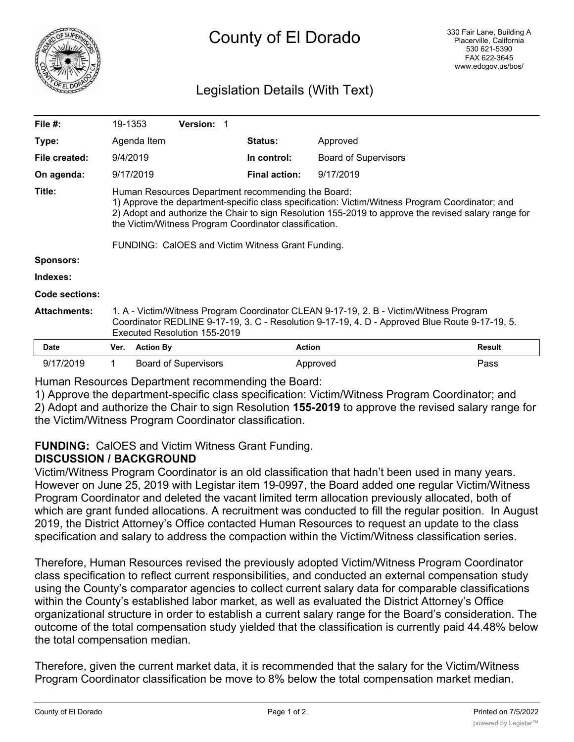

# County of El Dorado

# Legislation Details (With Text)

| File $#$ :          | 19-1353                                                                                                                                                                                                                                                                                                                 |                  | <b>Version:</b>             |                      |                             |               |
|---------------------|-------------------------------------------------------------------------------------------------------------------------------------------------------------------------------------------------------------------------------------------------------------------------------------------------------------------------|------------------|-----------------------------|----------------------|-----------------------------|---------------|
| Type:               |                                                                                                                                                                                                                                                                                                                         | Agenda Item      |                             | <b>Status:</b>       | Approved                    |               |
| File created:       | 9/4/2019                                                                                                                                                                                                                                                                                                                |                  |                             | In control:          | <b>Board of Supervisors</b> |               |
| On agenda:          |                                                                                                                                                                                                                                                                                                                         | 9/17/2019        |                             | <b>Final action:</b> | 9/17/2019                   |               |
| Title:              | Human Resources Department recommending the Board:<br>1) Approve the department-specific class specification: Victim/Witness Program Coordinator; and<br>2) Adopt and authorize the Chair to sign Resolution 155-2019 to approve the revised salary range for<br>the Victim/Witness Program Coordinator classification. |                  |                             |                      |                             |               |
|                     | FUNDING: CalOES and Victim Witness Grant Funding.                                                                                                                                                                                                                                                                       |                  |                             |                      |                             |               |
| <b>Sponsors:</b>    |                                                                                                                                                                                                                                                                                                                         |                  |                             |                      |                             |               |
| Indexes:            |                                                                                                                                                                                                                                                                                                                         |                  |                             |                      |                             |               |
| Code sections:      |                                                                                                                                                                                                                                                                                                                         |                  |                             |                      |                             |               |
| <b>Attachments:</b> | 1. A - Victim/Witness Program Coordinator CLEAN 9-17-19, 2. B - Victim/Witness Program<br>Coordinator REDLINE 9-17-19, 3. C - Resolution 9-17-19, 4. D - Approved Blue Route 9-17-19, 5.<br>Executed Resolution 155-2019                                                                                                |                  |                             |                      |                             |               |
| Date                | Ver.                                                                                                                                                                                                                                                                                                                    | <b>Action By</b> |                             | <b>Action</b>        |                             | <b>Result</b> |
| 9/17/2019           |                                                                                                                                                                                                                                                                                                                         |                  | <b>Board of Supervisors</b> |                      | Approved                    | Pass          |

Human Resources Department recommending the Board:

1) Approve the department-specific class specification: Victim/Witness Program Coordinator; and 2) Adopt and authorize the Chair to sign Resolution **155-2019** to approve the revised salary range for the Victim/Witness Program Coordinator classification.

## **FUNDING:** CalOES and Victim Witness Grant Funding.

### **DISCUSSION / BACKGROUND**

Victim/Witness Program Coordinator is an old classification that hadn't been used in many years. However on June 25, 2019 with Legistar item 19-0997, the Board added one regular Victim/Witness Program Coordinator and deleted the vacant limited term allocation previously allocated, both of which are grant funded allocations. A recruitment was conducted to fill the regular position. In August 2019, the District Attorney's Office contacted Human Resources to request an update to the class specification and salary to address the compaction within the Victim/Witness classification series.

Therefore, Human Resources revised the previously adopted Victim/Witness Program Coordinator class specification to reflect current responsibilities, and conducted an external compensation study using the County's comparator agencies to collect current salary data for comparable classifications within the County's established labor market, as well as evaluated the District Attorney's Office organizational structure in order to establish a current salary range for the Board's consideration. The outcome of the total compensation study yielded that the classification is currently paid 44.48% below the total compensation median.

Therefore, given the current market data, it is recommended that the salary for the Victim/Witness Program Coordinator classification be move to 8% below the total compensation market median.